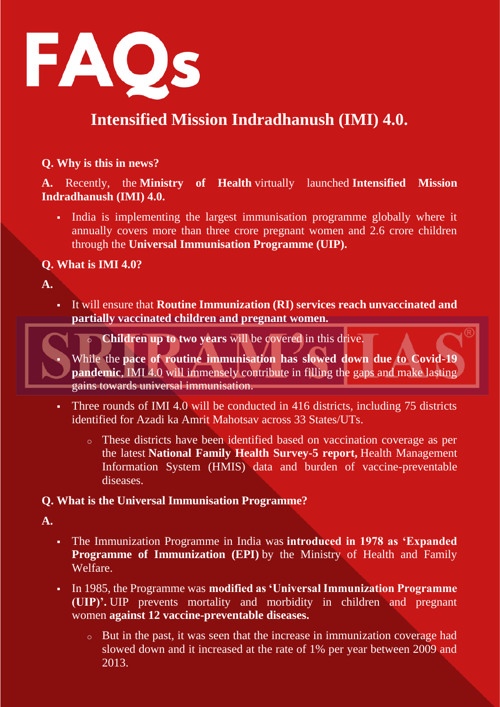

# **Intensified Mission Indradhanush (IMI) 4.0.**

### **Q. Why is this in news?**

**A.** Recently, the **Ministry of Health** virtually launched **Intensified Mission Indradhanush (IMI) 4.0.**

India is implementing the largest immunisation programme globally where it annually covers more than three crore pregnant women and 2.6 crore children through the **Universal Immunisation Programme (UIP).**

### **Q. What is IMI 4.0?**

**A.**

▪ It will ensure that **Routine Immunization (RI) services reach unvaccinated and partially vaccinated children and pregnant women.**

**Children up to two years** will be covered in this drive.

While the pace of routine immunisation has slowed down due to Covid-19 **pandemic.** IMI 4.0 will immensely contribute in filling the gaps and make lasting gains towards universal immunisation.

- Three rounds of IMI 4.0 will be conducted in 416 districts, including 75 districts identified for Azadi ka Amrit Mahotsav across 33 States/UTs.
	- o These districts have been identified based on vaccination coverage as per the latest **National Family Health Survey-5 report,** Health Management Information System (HMIS) data and burden of vaccine-preventable diseases.

#### **Q. What is the Universal Immunisation Programme?**

**A.**

- The Immunization Programme in India was **introduced in 1978 as 'Expanded Programme of Immunization (EPI)** by the Ministry of Health and Family Welfare.
- In 1985, the Programme was **modified as 'Universal Immunization Programme (UIP)'.** UIP prevents mortality and morbidity in children and pregnant women **against 12 vaccine-preventable diseases.**
	- o But in the past, it was seen that the increase in immunization coverage had slowed down and it increased at the rate of 1% per year between 2009 and 2013.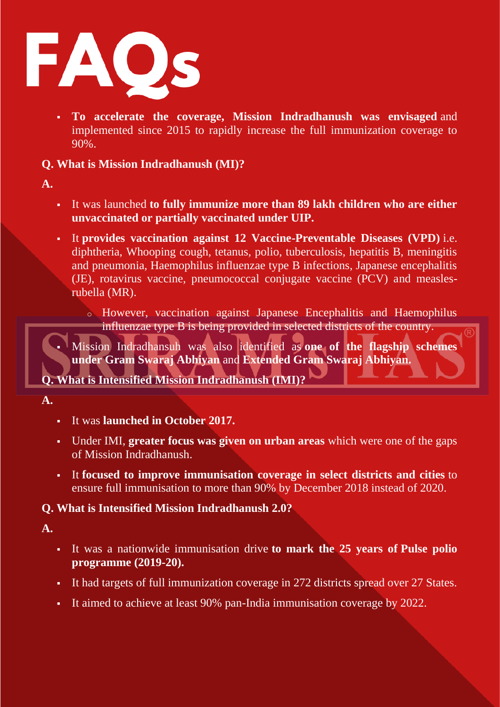

▪ **To accelerate the coverage, Mission Indradhanush was envisaged** and implemented since 2015 to rapidly increase the full immunization coverage to 90%.

**Q. What is Mission Indradhanush (MI)?**

- **A.**
- It was launched **to fully immunize more than 89 lakh children who are either unvaccinated or partially vaccinated under UIP.**
- It **provides vaccination against 12 Vaccine-Preventable Diseases (VPD)** i.e. diphtheria, Whooping cough, tetanus, polio, tuberculosis, hepatitis B, meningitis and pneumonia, Haemophilus influenzae type B infections, Japanese encephalitis (JE), rotavirus vaccine, pneumococcal conjugate vaccine (PCV) and measlesrubella (MR).
	- o However, vaccination against Japanese Encephalitis and Haemophilus influenzae type B is being provided in selected districts of the country.

▪ Mission Indradhansuh was also identified as **one of the flagship schemes under Gram Swaraj Abhiyan** and **Extended Gram Swaraj Abhiyan.**

## **Q. What is Intensified Mission Indradhanush (IMI)?**

- **A.**
- It was **launched in October 2017.**
- Under IMI, **greater focus was given on urban areas** which were one of the gaps of Mission Indradhanush.
- It **focused to improve immunisation coverage in select districts and cities** to ensure full immunisation to more than 90% by December 2018 instead of 2020.

### **Q. What is Intensified Mission Indradhanush 2.0?**

**A.**

- It was a nationwide immunisation drive **to mark the 25 years of Pulse polio programme (2019-20).**
- It had targets of full immunization coverage in 272 districts spread over 27 States.
- It aimed to achieve at least 90% pan-India immunisation coverage by 2022.